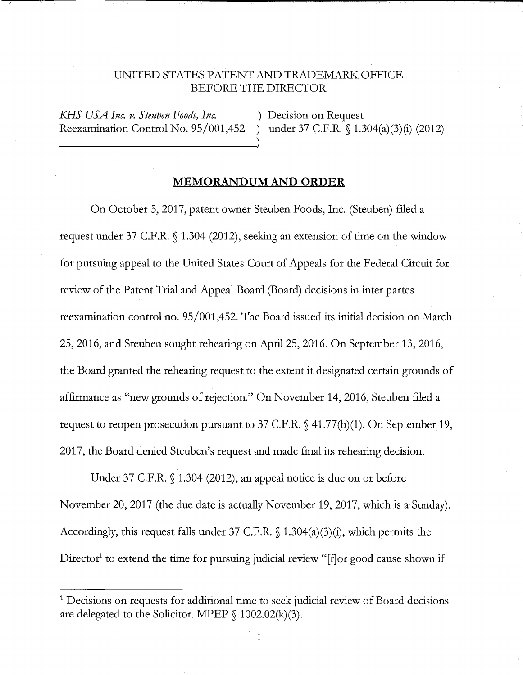## UNITED STATES PATENT AND TRADEMARK: OFFICE BEFORE THE DIRECTOR

*KH.S USA Inc. v. Steuben Foods, Inc.* ) Decision on Request Reexamination Control No. 95/001,452 ) under 37 C.F.R. § 1.304(a)(3)(i) (2012)

## **MEMORANDUM AND ORDER**

On October 5, 2017, patent owner Steuben Foods, Inc. (Steuben) filed a request under 37 C.F.R. § 1.304 (2012), seeking an extension of time on the window for pursuing appeal to the United States Court of Appeals for the Federal Circuit for review of the Patent Trial and Appeal Board (Board) decisions in inter partes reexamination control no. 95/001,452. The Board issued its initial decision on March 25, 2016, and Steuben sought rehearing on April 25, 2016. On September 13, 2016, the Board granted the rehearing request to the extent it designated certain grounds of affirmance as "new grounds of rejection." On November 14, 2016, Steuben filed a request to reopen prosecution pursuant to 37 C.F.R. § 41.77(b)(1). On September 19, 2017, the Board denied Steuben's request and made final its rehearing decision.

Under 37 C.F.R. § 1.304 (2012), an appeal notice is due on or before November 20, 2017 (the due date is actually November 19, 2017, which is a Sunday). Accordingly, this request falls under 37 C.F.R. § 1.304(a)(3)(i), which permits the Director<sup>1</sup> to extend the time for pursuing judicial review " $\int$ f $\int$ or good cause shown if

 $\mathbf{1}$ 

<sup>&</sup>lt;sup>1</sup> Decisions on requests for additional time to seek judicial review of Board decisions are delegated to the Solicitor. MPEP  $\S$  1002.02(k)(3).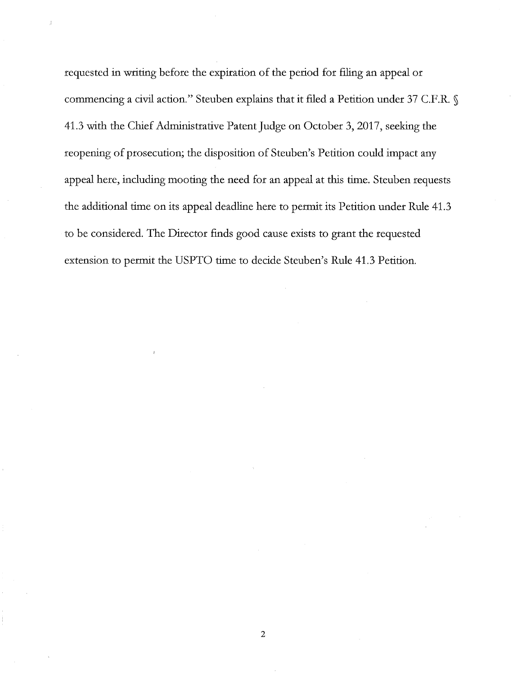requested in writing before the expiration of the period for filing an appeal or commencing a civil action." Steuben explains that it filed a Petition under 37 C.F.R. § 41.3 with the Chief Administrative Patent Judge on October 3, 2017, seeking the reopening of prosecution; the disposition of Steuben's Petition could impact any appeal here, including mooting the need for an appeal at this time. Steuben requests the additional time on its appeal deadline here to permit its Petition under Rule 41.3 to be considered. The Director finds good cause exists to grant the requested extension to permit the USPTO time to decide Steuben's Rule 41.3 Petition.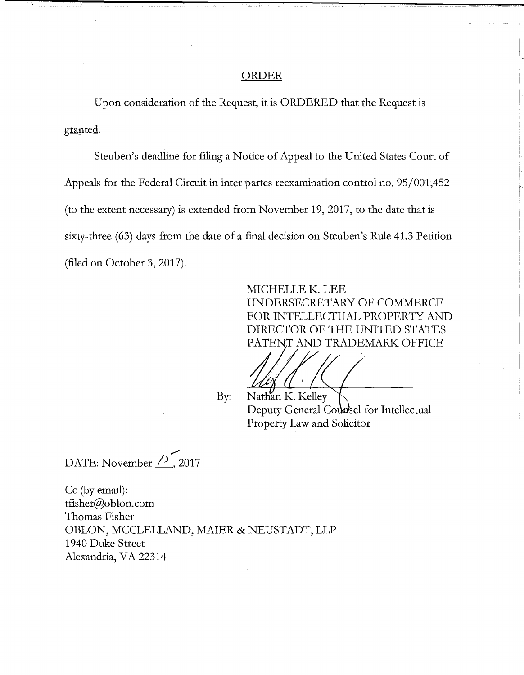## ORDER

Upon consideration of the Request, it is ORDERED that the Request is granted.

Steuben's deadline for filing a Notice of Appeal to the United States Court of Appeals for the Federal Circuit in inter partes reexamination control no. 95/001,452 (to the extent necessary) is extended from November 19, 2017, to the date that is sixty-three (63) days from the date of a final decision on Steuben's Rule 41.3 Petition (filed on October 3, 2017).

> MICHELLE K. LEE UNDERSECRETARY OF COMMERCE FOR INTELLECTUAL PROPERTY AND DIRECTOR OF THE UNITED STATES PATENT AND TRADEMARK OFFICE

I I

By: Nathan K. Kelley Deputy General Counsel for Intellectual Property Law and Solicitor

,,...., DATE: November  $\frac{7}{2}$ , 2017

Cc (by email): tfisher@oblon.com Thomas Fisher OBLON, MCCLELLAND, MAIER & NEUSTADT, LLP 1940 Duke Street Alexandria, VA 22314